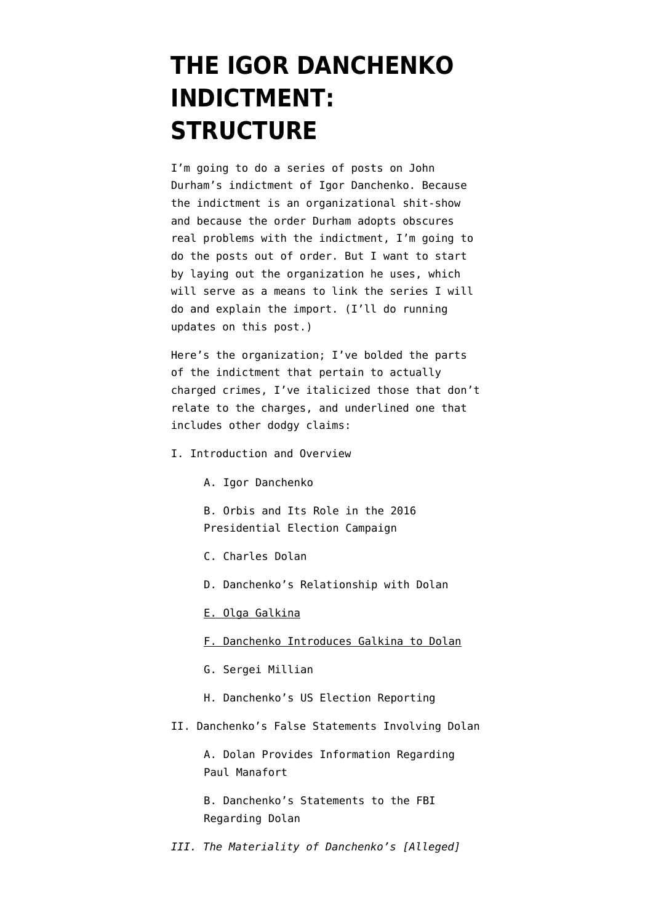## **[THE IGOR DANCHENKO](https://www.emptywheel.net/2021/11/05/the-igor-danchenko-indictment-structure/) [INDICTMENT:](https://www.emptywheel.net/2021/11/05/the-igor-danchenko-indictment-structure/) [STRUCTURE](https://www.emptywheel.net/2021/11/05/the-igor-danchenko-indictment-structure/)**

I'm going to do a series of posts on [John](https://www.justice.gov/sco/press-release/file/1446386/download) [Durham's indictment of Igor Danchenko](https://www.justice.gov/sco/press-release/file/1446386/download). Because the indictment is an organizational shit-show and because the order Durham adopts obscures real problems with the indictment, I'm going to do the posts out of order. But I want to start by laying out the organization he uses, which will serve as a means to link the series I will do and explain the import. (I'll do running updates on this post.)

Here's the organization; I've bolded the parts of the indictment that pertain to actually charged crimes, I've italicized those that don't relate to the charges, and underlined one that includes other dodgy claims:

- I. Introduction and Overview
	- A. Igor Danchenko

B. Orbis and Its Role in the 2016 Presidential Election Campaign

- C. Charles Dolan
- D. Danchenko's Relationship with Dolan

[E. Olga Galkina](https://www.emptywheel.net/2021/11/07/john-durham-may-have-made-igor-danchenko-aggrieved-under-fisa/)

- F. Danchenko Introduces Galkina to Dolan
- G. Sergei Millian
- H. Danchenko's US Election Reporting
- II. Danchenko's False Statements Involving Dolan

A. Dolan Provides Information Regarding Paul Manafort

B. Danchenko's Statements to the FBI Regarding Dolan

*III. The Materiality of Danchenko's [Alleged]*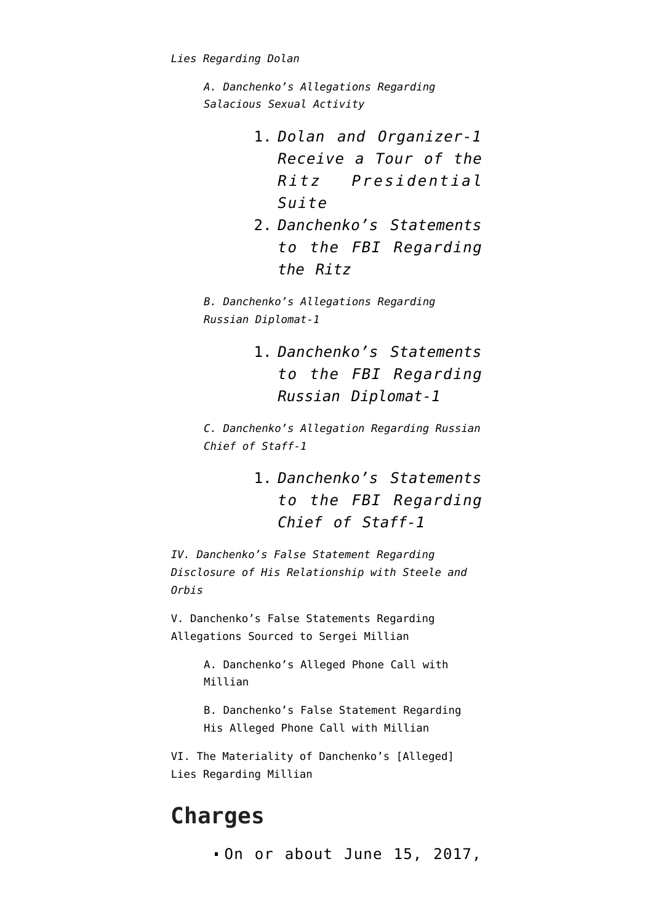```
A. Danchenko's Allegations Regarding
Salacious Sexual Activity
```
- 1. *Dolan and Organizer-1 Receive a Tour of the Ritz Presidential Suite*
- 2. *Danchenko's Statements to the FBI Regarding the Ritz*

*B. Danchenko's Allegations Regarding Russian Diplomat-1*

> 1. *Danchenko's Statements to the FBI Regarding Russian Diplomat-1*

*C. Danchenko's Allegation Regarding Russian Chief of Staff-1*

> 1. *Danchenko's Statements to the FBI Regarding Chief of Staff-1*

*[IV. Danchenko's False Statement Regarding](https://www.emptywheel.net/2021/11/08/yes-and-no-john-durham-claims-an-answer-about-intelligence-collection-covers-all-networking/) [Disclosure of His Relationship with Steele and](https://www.emptywheel.net/2021/11/08/yes-and-no-john-durham-claims-an-answer-about-intelligence-collection-covers-all-networking/) [Orbis](https://www.emptywheel.net/2021/11/08/yes-and-no-john-durham-claims-an-answer-about-intelligence-collection-covers-all-networking/)*

V. Danchenko's False Statements Regarding Allegations Sourced to Sergei Millian

> A. Danchenko's Alleged Phone Call with Millian

B. Danchenko's False Statement Regarding His Alleged Phone Call with Millian

VI. The Materiality of Danchenko's [Alleged] Lies Regarding Millian

## **Charges**

.0n or about June 15, 2017,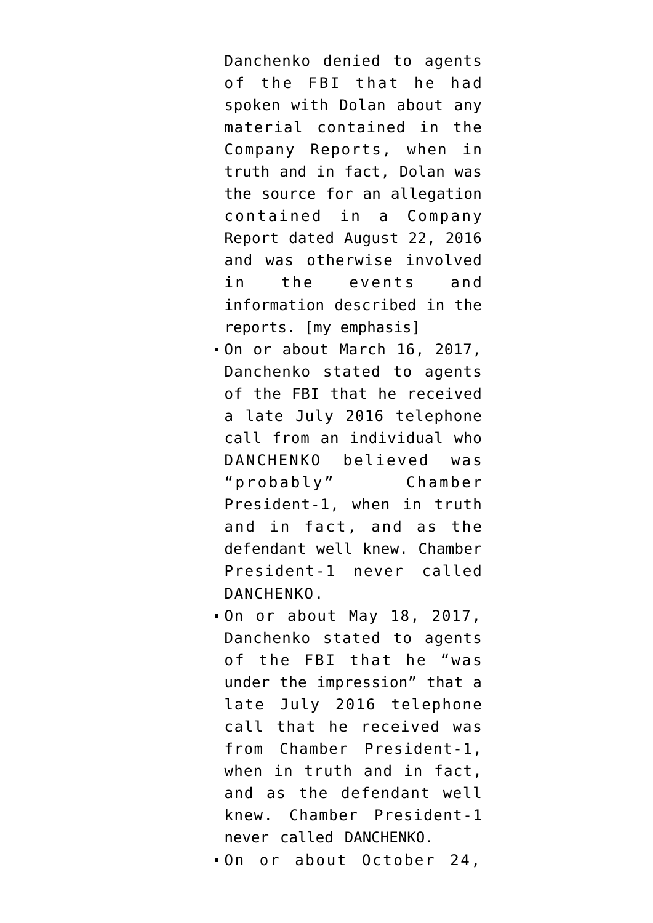Danchenko denied to agents of the FBI that he had spoken with Dolan about any material contained in the Company Reports, when in truth and in fact, Dolan was the source for an allegation contained in a Company Report dated August 22, 2016 and was otherwise involved in the events and information described in the reports. [my emphasis]

- On or about March 16, 2017, Danchenko stated to agents of the FBI that he received a late July 2016 telephone call from an individual who DANCHENKO believed was "probably" Chamber President-1, when in truth and in fact, and as the defendant well knew. Chamber President-1 never called DANCHENKO.
- On or about May 18, 2017, Danchenko stated to agents of the FBI that he "was under the impression" that a late July 2016 telephone call that he received was from Chamber President-1, when in truth and in fact, and as the defendant well knew. Chamber President-1 never called DANCHENKO.

On or about October 24,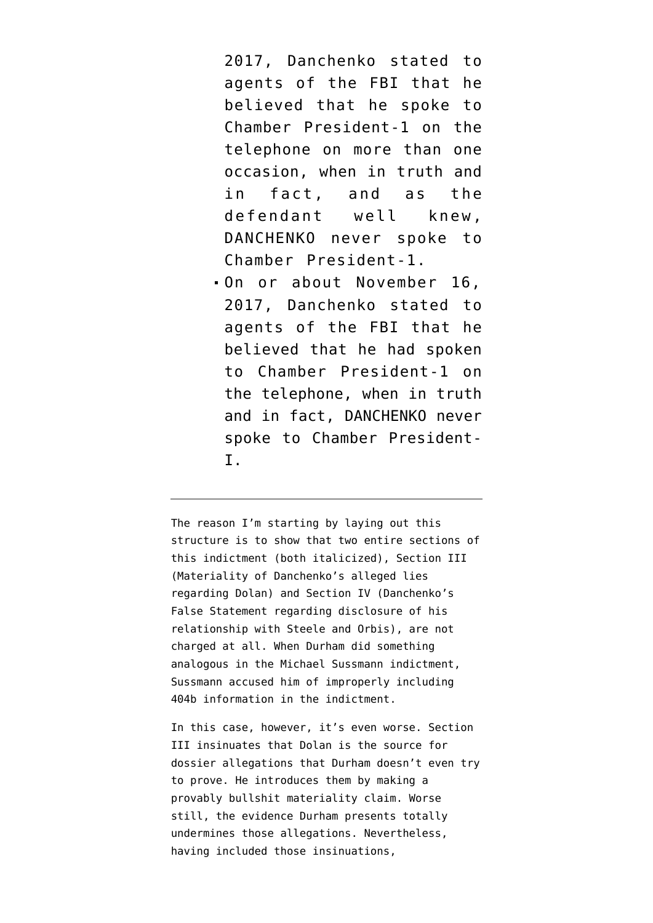2017, Danchenko stated to agents of the FBI that he believed that he spoke to Chamber President-1 on the telephone on more than one occasion, when in truth and in fact, and as the defendant well knew, DANCHENKO never spoke to Chamber President-1.

On or about November 16, 2017, Danchenko stated to agents of the FBI that he believed that he had spoken to Chamber President-1 on the telephone, when in truth and in fact, DANCHENKO never spoke to Chamber President-I.

The reason I'm starting by laying out this structure is to show that two entire sections of this indictment (both italicized), Section III (Materiality of Danchenko's alleged lies regarding Dolan) and Section IV (Danchenko's False Statement regarding disclosure of his relationship with Steele and Orbis), are not charged at all. When Durham did something analogous in the Michael Sussmann indictment, Sussmann accused him of improperly including 404b information in the indictment.

In this case, however, it's even worse. Section III insinuates that Dolan is the source for dossier allegations that Durham doesn't even try to prove. He introduces them by making a provably bullshit materiality claim. Worse still, the evidence Durham presents totally undermines those allegations. Nevertheless, having included those insinuations,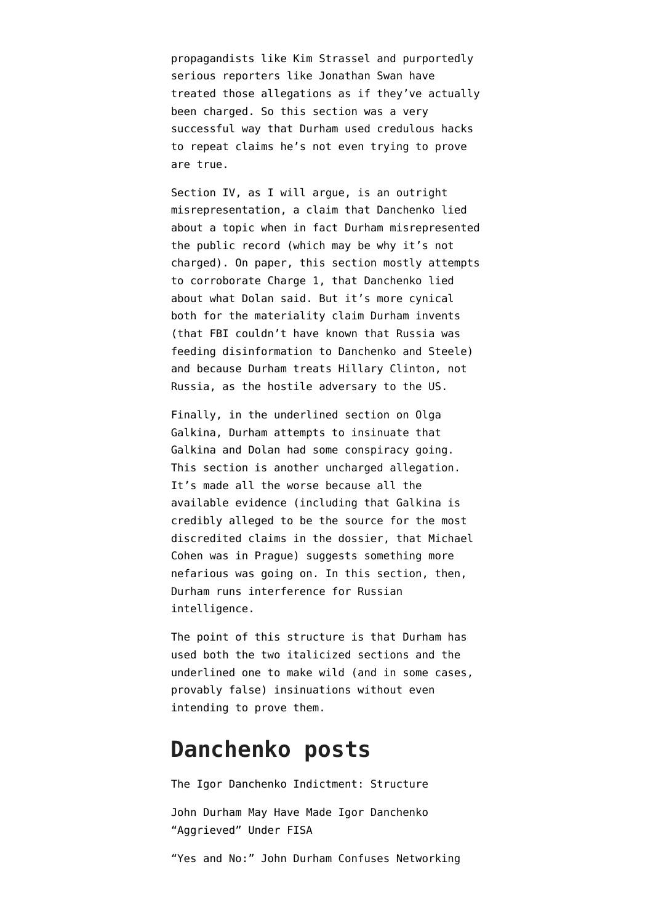[propagandists like Kim Strassel](https://www.wsj.com/articles/durham-and-the-clinton-dossier-trump-russia-collusion-justice-11636064837?st=10pz13xyaymj1my&reflink=desktopwebshare_twitter) and [purportedly](https://twitter.com/jonathanvswan/status/1456619895685267457) [serious reporters like Jonathan Swan](https://twitter.com/jonathanvswan/status/1456619895685267457) have treated those allegations as if they've actually been charged. So this section was a very successful way that Durham used credulous hacks to repeat claims he's not even trying to prove are true.

Section IV, as I will argue, is an outright misrepresentation, a claim that Danchenko lied about a topic when in fact Durham misrepresented the public record (which may be why it's not charged). On paper, this section mostly attempts to corroborate Charge 1, that Danchenko lied about what Dolan said. But it's more cynical both for the materiality claim Durham invents (that FBI couldn't have known that Russia was feeding disinformation to Danchenko and Steele) and because Durham treats Hillary Clinton, not Russia, as the hostile adversary to the US.

Finally, in the underlined section on Olga Galkina, Durham attempts to insinuate that Galkina and Dolan had some conspiracy going. This section is another uncharged allegation. It's made all the worse because all the available evidence (including that Galkina is credibly alleged to be the source for the most discredited claims in the dossier, that Michael Cohen was in Prague) suggests something more nefarious was going on. In this section, then, Durham runs interference for Russian intelligence.

The point of this structure is that Durham has used both the two italicized sections and the underlined one to make wild (and in some cases, provably false) insinuations without even intending to prove them.

## **Danchenko posts**

[The Igor Danchenko Indictment: Structure](https://www.emptywheel.net/2021/11/05/the-igor-danchenko-indictment-structure/) [John Durham May Have Made Igor Danchenko](https://www.emptywheel.net/2021/11/07/john-durham-may-have-made-igor-danchenko-aggrieved-under-fisa/) ["Aggrieved" Under FISA](https://www.emptywheel.net/2021/11/07/john-durham-may-have-made-igor-danchenko-aggrieved-under-fisa/) ["Yes and No:" John Durham Confuses Networking](https://www.emptywheel.net/2021/11/08/yes-and-no-john-durham-claims-an-answer-about-intelligence-collection-covers-all-networking/)